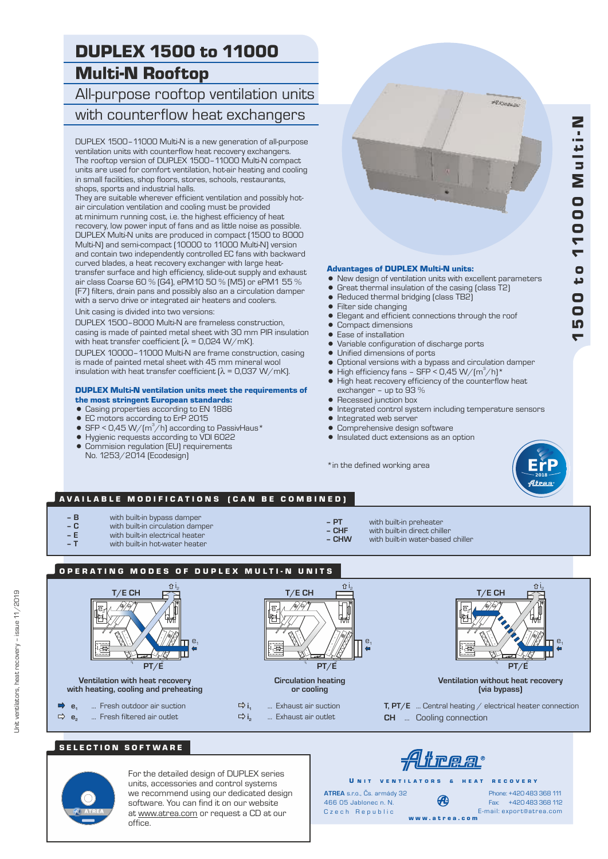# $\blacktriangledown$  $\overline{p}$ 0 0 t o  $\blacktriangledown$  $\blacktriangledown$ 00 0  $\boldsymbol{\Sigma}$ u l t i - N

# DUPLEX 1500 to 11000 Multi-N Rooftop

All-purpose rooftop ventilation units with counterflow heat exchangers

DUPLEX 1500–11000 Multi-N is a new generation of all-purpose ventilation units with counterflow heat recovery exchangers. The rooftop version of DUPLEX 1500–11000 Multi-N compact units are used for comfort ventilation, hot-air heating and cooling in small facilities, shop floors, stores, schools, restaurants, shops, sports and industrial halls.

They are suitable wherever efficient ventilation and possibly hotair circulation ventilation and cooling must be provided at minimum running cost, i.e. the highest efficiency of heat recovery, low power input of fans and as little noise as possible. DUPLEX Multi-N units are produced in compact (1500 to 8000 Multi-N) and semi-compact (10000 to 11000 Multi-N) version and contain two independently controlled EC fans with backward curved blades, a heat recovery exchanger with large heattransfer surface and high efficiency, slide-out supply and exhaust air class Coarse 60 % (G4), ePM10 50 % (M5) or ePM1 55 % (F7) filters, drain pans and possibly also an a circulation damper with a servo drive or integrated air heaters and coolers.

Unit casing is divided into two versions:

DUPLEX 1500–8000 Multi-N are frameless construction, casing is made of painted metal sheet with 30 mm PIR insulation with heat transfer coefficient  $\lambda = 0.024 \text{ W/mK}$ .

DUPLEX 10000–11000 Multi-N are frame construction, casing is made of painted metal sheet with 45 mm mineral wool insulation with heat transfer coefficient  $[\lambda = 0.037 \text{ W/mK}]$ .

# DUPLEX Multi-N ventilation units meet the requirements of

- the most stringent European standards:
- Casing properties according to EN 1886
- EC motors according to ErP 2015
- SFP < 0,45 W/( $m^3/h$ ) according to PassivHaus\*
- = Hygienic requests according to VDI 6022
- Commision regulation (EU) requirements No. 1253/2014 (Ecodesign)

**PROGRAM** 

#### Advantages of DUPLEX Multi-N units:

- New design of ventilation units with excellent parameters<br>• Great thermal insulation of the casing (class T2)
	- Great thermal insulation of the casing (class T2)
- Reduced thermal bridging (class TB2)
- $\bullet$  Filter side changing
- Elegant and efficient connections through the roof
- Compact dimensions
- Ease of installation
- Variable configuration of discharge ports
- 
- Unified dimensions of ports<br>• Ontional versions with a hyper
- Optional versions with a bypass and circulation damper<br>• High efficiency fans SEP < 0.45 W/(m<sup>3</sup>/h)\* High efficiency fans – SFP < 0,45 W/ $(m^3/h)^*$
- High heat recovery efficiency of the counterflow heat exchanger – up to 93 %
- Recessed junction box
- Integrated control system including temperature sensors<br>● Integrated web server
	- Integrated web server
- **Comprehensive design software**
- $\bullet$  Insulated duct extensions as an option

\*in the defined working area



## AVAILABLE MODIFICATIONS (CAN BE COMBINED)

- **B** with built-in bypass damper<br> **C** with built-in circulation damp
- **C** with built-in circulation damper
- **E** with built-in electrical heater
- with built-in hot-water heater
- 
- **PT** with built-in preheater
- **CHF** with built-in direct chiller<br>  **CHW** with built-in water-based **– CHW** with built-in water-based chiller
- OPERATING MODES OF DUPLEX MULTI-N UNITS



# SELECTION SOFTWARE



For the detailed design of DUPLEX series units, accessories and control systems we recommend using our dedicated design software. You can find it on our website at www.atrea.com or request a CD at our office.

U N IT VENTILATORS & HEAT RECOVERY **ATREA** s.r.o., Čs. armády 32

466 05 Jablonec n. N. Czech Republic w w w . a t r e a . c o m

Fax: +420 483 368 112 Phone: +420 483 368 111 E-mail: export@atrea.com

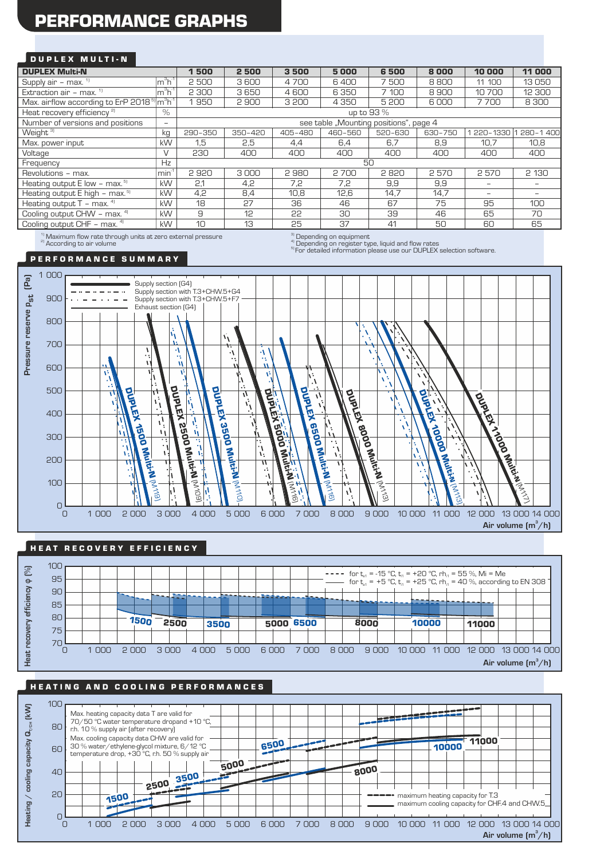# PERFORMANCE GRAPHS

## DUPLEX MULTI-N

| <b>DUPLEX Multi-N</b>                                                                                               |                             | 500<br>1                               | 2500    | 3500    | 5000    | 6500    | 8000    | 10 000     | 11 000            |
|---------------------------------------------------------------------------------------------------------------------|-----------------------------|----------------------------------------|---------|---------|---------|---------|---------|------------|-------------------|
| Supply air - max. $1$                                                                                               | $Im3h-1$                    | 2500                                   | 3600    | 4700    | 6400    | 7500    | 8800    | 11 100     | 13050             |
| Extraction air - max. $1$                                                                                           | $\mathsf{Im}^3\mathsf{h}^4$ | 2 300                                  | 3650    | 4600    | 6350    | 7 100   | 8900    | 10700      | 12 300            |
| Max. airflow according to ErP 2018 <sup>5</sup> m <sup>3</sup> h <sup>-1</sup>                                      |                             | 950                                    | 2900    | 3 200   | 4 3 5 0 | 5 200   | 6000    | 7700       | 8 3 0 0           |
| Heat recovery efficiency <sup>2)</sup>                                                                              | $\%$                        | up to 93 %                             |         |         |         |         |         |            |                   |
| Number of versions and positions                                                                                    | $\overline{\phantom{a}}$    | see table "Mounting positions", page 4 |         |         |         |         |         |            |                   |
| Weight <sup>3]</sup>                                                                                                | kg                          | 290-350                                | 350-420 | 405-480 | 460-560 | 520-630 | 630-750 | 1 220-1330 | 280-1400          |
| Max. power input                                                                                                    | kW                          | 1,5                                    | 2,5     | 4,4     | 6.4     | 6.7     | 8.9     | 10.7       | 10,8              |
| Voltage                                                                                                             | V                           | 230                                    | 400     | 400     | 400     | 400     | 400     | 400        | 400               |
| Frequency                                                                                                           | <b>Hz</b>                   | 50                                     |         |         |         |         |         |            |                   |
| Revolutions - max.                                                                                                  | min <sup>1</sup>            | 2920                                   | 3000    | 2980    | 2700    | 2820    | 2570    | 2570       | 2 1 3 0           |
| Heating output E low - max. <sup>5)</sup>                                                                           | kW                          | 2.1                                    | 4,2     | 7,2     | 7.2     | 9,9     | 9,9     |            | $\qquad \qquad -$ |
| Heating output E high - max. <sup>51</sup>                                                                          | kW                          | 4,2                                    | 8,4     | 10,8    | 12,6    | 14,7    | 14,7    |            |                   |
| Heating output $T - \text{max.}$ <sup>4)</sup>                                                                      | kW                          | 18                                     | 27      | 36      | 46      | 67      | 75      | 95         | 100               |
| Cooling output CHW - max. 41                                                                                        | kW                          | 9                                      | 12      | 55      | 30      | 39      | 46      | 65         | 70                |
| Cooling output CHF - max. 4)                                                                                        | kW                          | 10                                     | 13      | 25      | 37      | 41      | 50      | 60         | 65                |
| and the contract of the contract of the contract of the contract of the contract of the contract of the contract of |                             |                                        |         | $\sim$  |         |         |         |            |                   |

 $^{1)}$  Maximum flow rate through units at zero external pressure<br><sup>a)</sup> According to air volume

 $\sigma^{\rm (3)}_{\rm (1)}$  Depending on equipment<br> $\sigma^{\rm (4)}_{\rm (2)}$  Depending on register type, liquid and flow rates

Superiority of the system who, inquired the test that the contract of the selection software.

### P E R F O R M A N C E S U M M A R Y



### HE AT RECOVERY EFFICIENCY



# HE A TING AND COOLING PERFORMANCES

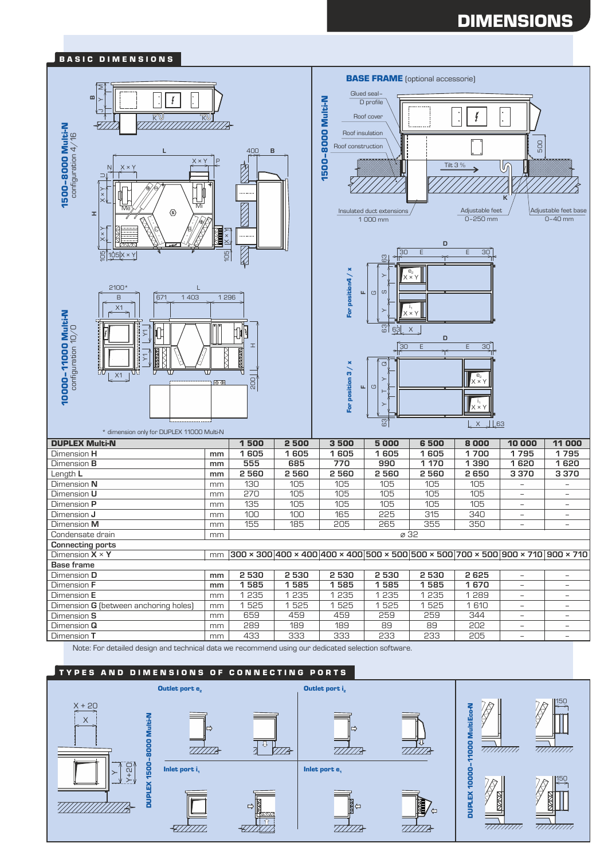# DIMENSIONS



Note: For detailed design and technical data we recommend using our dedicated selection software.

## TYPES AND DIMENSIONS OF CONNECTING PORTS

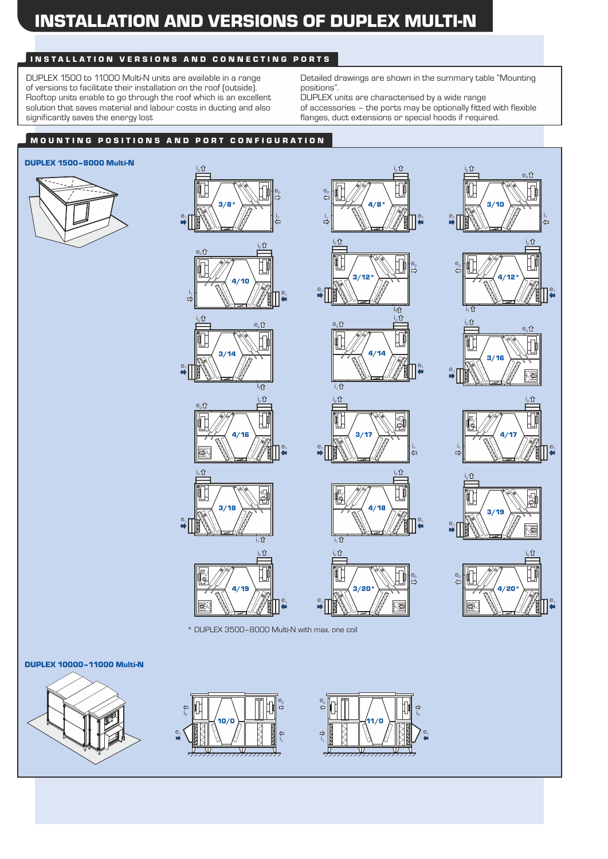# INSTALLATION AND VERSIONS OF DUPLEX MULTI-N

# INSTALLATION VERSIONS AND CONNECTING PORTS

DUPLEX 1500 to 11000 Multi-N units are available in a range of versions to facilitate their installation on the roof (outside). Rooftop units enable to go through the roof which is an excellent solution that saves material and labour costs in ducting and also significantly saves the energy lost

Detailed drawings are shown in the summary table "Mounting positions".

DUPLEX units are characterised by a wide range

 $\hat{p}$ 

of accessories – the ports may be optionally fitted with flexible flanges, duct extensions or special hoods if required.

# MOUNTING POSITIONS AND PORT CONFIGURATION

### DUPLEX 1500–8000 Multi-N









 $e<sub>2</sub>$ 

i. û











 $\frac{1}{1}$ 

 $i_2$   $\Omega$ 

้∎้

3/20\*

i1

¢

 $e<sub>z</sub>$ 

 $e<sub>1</sub>$ 

\* DUPLEX 3500–8000 Multi-N with max. one coil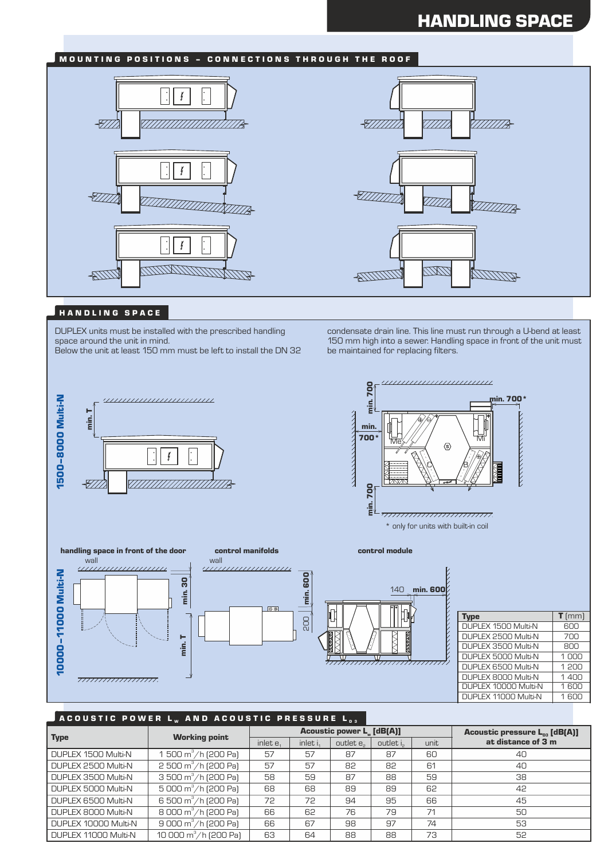# HANDLING SPACE

# MOUNTING POSITIONS - CONNECTIONS THROUGH THE ROOF





### HANDLING SPACE

DUPLEX units must be installed with the prescribed handling space around the unit in mind.

Below the unit at least 150 mm must be left to install the DN 32



condensate drain line. This line must run through a U-bend at least 150 mm high into a sewer. Handling space in front of the unit must be maintained for replacing filters.





## A COUSTIC POWER L<sub>w</sub> and acoustic pressure L<sub>D3</sub>

|                      | <b>Working point</b>                 |             |                      | <b>Acoustic power L. [dB(A)]</b> | Acoustic pressure L <sub>p3</sub> [dB(A)] |      |                    |
|----------------------|--------------------------------------|-------------|----------------------|----------------------------------|-------------------------------------------|------|--------------------|
| <b>Type</b>          |                                      | inlet $e_1$ | inlet i <sub>1</sub> | outlet e <sub>2</sub>            | outlet is                                 | unit | at distance of 3 m |
| DUPLEX 1500 Multi-N  | 1 500 $\text{m}^3/\text{h}$ (200 Pa) | 57          | 57                   | 87                               | 87                                        | 60   | 40                 |
| DUPLEX 2500 Multi-N  | $2500 \text{ m}^3/\text{h}$ (200 Pa) | 57          | 57                   | 82                               | 82                                        | 61   | 40                 |
| DUPLEX 3500 Multi-N  | 3 500 m <sup>3</sup> /h [200 Pa]     | 58          | 59                   | 87                               | 88                                        | 59   | 38                 |
| DUPLEX 5000 Multi-N  | $5000 \text{ m}^3/\text{h}$ (200 Pa) | 68          | 68                   | 89                               | 89                                        | 62   | 42                 |
| DUPLEX 6500 Multi-N  | 6 500 m <sup>3</sup> /h (200 Pa)     | 72          | 72                   | 94                               | 95                                        | 66   | 45                 |
| DUPLEX 8000 Multi-N  | 8 000 m <sup>3</sup> /h (200 Pa)     | 66          | 62                   | 76                               | 79                                        | 71   | 50                 |
| DUPLEX 10000 Multi-N | $9000 \text{ m}^3/\text{h}$ [200 Pa] | 66          | 67                   | 98                               | 97                                        | 74   | 53                 |
| DUPLEX 11000 Multi-N | 10 000 $m^3/h$ (200 Pa)              | 63          | 64                   | 88                               | 88                                        | 73   | 52                 |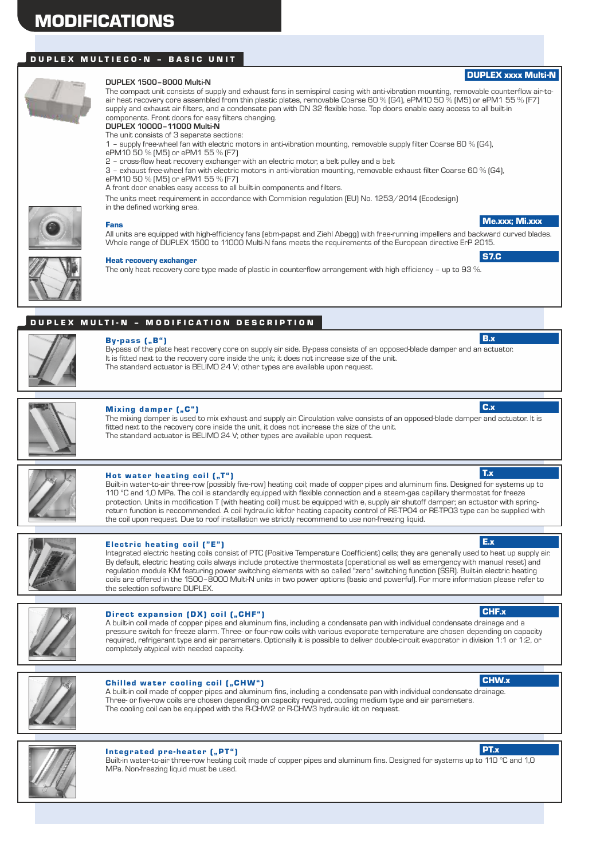# DUPLEX MULTIECO-N - BASIC UNIT



#### **DUPLEX 1500–8000 Multi-N**

The compact unit consists of supply and exhaust fans in semispiral casing with anti-vibration mounting, removable counterflow air-toair heat recovery core assembled from thin plastic plates, removable Coarse 60 % (G4), ePM10 50 % (M5) or ePM1 55 % (F7) supply and exhaust air filters, and a condensate pan with DN 32 flexible hose. Top doors enable easy access to all built-in components. Front doors for easy filters changing. **DUPLEX 10000–11000 Multi-N**

The unit consists of 3 separate sections:

1 – supply free-wheel fan with electric motors in anti-vibration mounting, removable supply filter Coarse 60 % (G4),

- ePM10 50 % (M5) or ePM1 55 % (F7)
- 2 cross-flow heat recovery exchanger with an electric motor, a belt pulley and a belt

It is fitted next to the recovery core inside the unit; it does not increase size of the unit. The standard actuator is BELIMO 24 V; other types are available upon request.

3 – exhaust free-wheel fan with electric motors in anti-vibration mounting, removable exhaust filter Coarse 60 % (G4), ePM10 50 % (M5) or ePM1 55 % (F7)

A front door enables easy access to all built-in components and filters.

The units meet requirement in accordance with Commision regulation (EU) No. 1253/2014 (Ecodesign)

in the defined working area.



# Fans

All units are equipped with high-efficiency fans (ebm-papst and Ziehl Abegg) with free-running impellers and backward curved blades. Whole range of DUPLEX 1500 to 11000 Multi-N fans meets the requirements of the European directive ErP 2015.

Heat recovery exchanger

The only heat recovery core type made of plastic in counterflow arrangement with high efficiency – up to 93 %.

# DUPLEX MULTI-N - MODIFICATION DESCRIPTION



 $By-pass$   $[, B"$ 

Mixing damper (..C") The mixing damper is used to mix exhaust and supply air. Circulation valve consists of an opposed-blade damper and actuator. It is fitted next to the recovery core inside the unit, it does not increase the size of the unit. The standard actuator is BELIMO 24 V; other types are available upon request. C.x

By-pass of the plate heat recovery core on supply air side. By-pass consists of an opposed-blade damper and an actuator.



# Hot water heating coil  $($ "T" $)$

Built-in water-to-air three-row (possibly five-row) heating coil; made of copper pipes and aluminum fins. Designed for systems up to 110 °C and 1,0 MPa. The coil is standardly equipped with flexible connection and a steam-gas capillary thermostat for freeze protection. Units in modification T (with heating coil) must be equipped with e, supply air shutoff damper; an actuator with springreturn function is reccommended. A coil hydraulic kitfor heating capacity control of RE-TPO4 or RE-TPO3 type can be supplied with the coil upon request. Due to roof installation we strictly recommend to use non-freezing liquid.



### Electric heating coil  $("E")$

Integrated electric heating coils consist of PTC (Positive Temperature Coefficient) cells; they are generally used to heat up supply air. By default, electric heating coils always include protective thermostats (operational as well as emergency with manual reset) and regulation module KM featuring power switching elements with so called "zero" switching function (SSR). Built-in electric heating coils are offered in the 1500–8000 Multi-N units in two power options (basic and powerful). For more information please refer to the selection software DUPLEX.

### Direct expansion (DX) coil ("CHF")

A built-in coil made of copper pipes and aluminum fins, including a condensate pan with individual condensate drainage and a pressure switch for freeze alarm. Three- or four-row coils with various evaporate temperature are chosen depending on capacity required, refrigerant type and air parameters. Optionally it is possible to deliver double-circuit evaporator in division 1:1 or 1:2, or completely atypical with needed capacity.



### Chilled water cooling coil ("CHW")

A built-in coil made of copper pipes and aluminum fins, including a condensate pan with individual condensate drainage. Three- or five-row coils are chosen depending on capacity required, cooling medium type and air parameters. The cooling coil can be equipped with the R-CHW2 or R-CHW3 hydraulic kit on request.



### Integrated pre-heater ("PT")

Built-in water-to-air three-row heating coil; made of copper pipes and aluminum fins. Designed for systems up to 110 °C and 1,0 MPa. Non-freezing liquid must be used.



CHF.x

E.x

CHW.x

Me.xxx; Mi.xxx

DUPLEX xxxx Multi-N

S7.C

B.x

T.x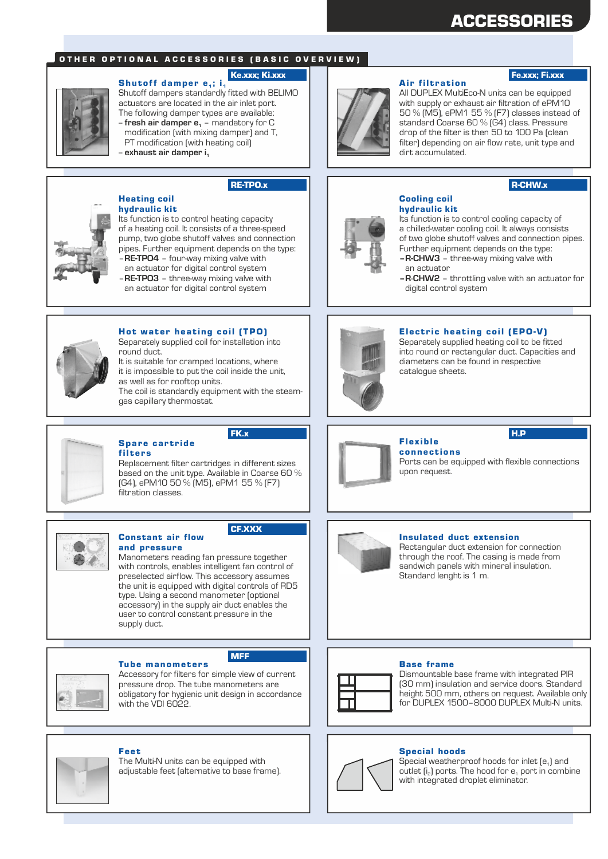# ACCESSORIES

## OTHER OPTIONAL ACCESSORIES (BASIC OVERVIEW)

#### Ke.xxx; Ki.xxx

Shutoff damper  $e_1$ ; i<sub>1</sub> Shutoff dampers standardly fitted with BELIMO actuators are located in the air inlet port. The following damper types are available: -- **fresh air damper e** – mandatory for C **<sup>1</sup>** modification (with mixing damper) and T, PT modification (with heating coil)

-- **exhaust air damper i<sup>1</sup>**

RE-TPO.x



## Heating coil

hydraulic kit Its function is to control heating capacity of a heating coil. It consists of a three-speed pump, two globe shutoff valves and connection pipes. Further equipment depends on the type: –**RE-TPO4** – four-way mixing valve with an actuator for digital control system

–**RE-TPO3** – three-way mixing valve with an actuator for digital control system



### Hot water heating coil (TPO)

Separately supplied coil for installation into round duct.

It is suitable for cramped locations, where it is impossible to put the coil inside the unit, as well as for rooftop units. The coil is standardly equipment with the steamgas capillary thermostat.

#### Spare cartride filters

Constant air flow

Replacement filter cartridges in different sizes based on the unit type. Available in Coarse 60 % (G4), ePM10 50 % (M5), ePM1 55 % (F7) filtration classes.



#### CF.XXX

and pressure Manometers reading fan pressure together with controls, enables intelligent fan control of preselected airflow. This accessory assumes the unit is equipped with digital controls of RD5 type. Using a second manometer (optional accessory) in the supply air duct enables the user to control constant pressure in the supply duct.



#### **Tube manometers**

Accessory for filters for simple view of current pressure drop. The tube manometers are obligatory for hygienic unit design in accordance with the VDI 6022

MFF



## Fee t

The Multi-N units can be equipped with adjustable feet (alternative to base frame).



#### **Air filtration**

# Fe.xxx; Fi.xxx

All DUPLEX MultiEco-N units can be equipped with supply or exhaust air filtration of ePM10 50 % (M5), ePM1 55 % (F7) classes instead of standard Coarse 60 % (G4) class. Pressure drop of the filter is then 50 to 100 Pa (clean filter) depending on air flow rate, unit type and dirt accumulated.

## R-CHW.x



#### Cooling coil hydraulic kit

Its function is to control cooling capacity of a chilled-water cooling coil. It always consists of two globe shutoff valves and connection pipes. Further equipment depends on the type: **–R-CHW3** – three-way mixing valve with

- an actuator
- **–R**-**CHW2** throttling valve with an actuator for digital control system



### Electric heating coil (EPO-V)

Separately supplied heating coil to be fitted into round or rectangular duct. Capacities and diameters can be found in respective catalogue sheets.



**connections** Ports can be equipped with flexible connections upon request.



#### Insulated duct extension

Rectangular duct extension for connection through the roof. The casing is made from sandwich panels with mineral insulation. Standard lenght is 1 m.

#### Base frame



Dismountable base frame with integrated PIR (30 mm) insulation and service doors. Standard height 500 mm, others on request. Available only for DUPLEX 1500–8000 DUPLEX Multi-N units.

### Special hoods



Special weatherproof hoods for inlet  $[e_1]$  and outlet  $[i_2]$  ports. The hood for  $e_1$  port in combine with integrated droplet eliminator.